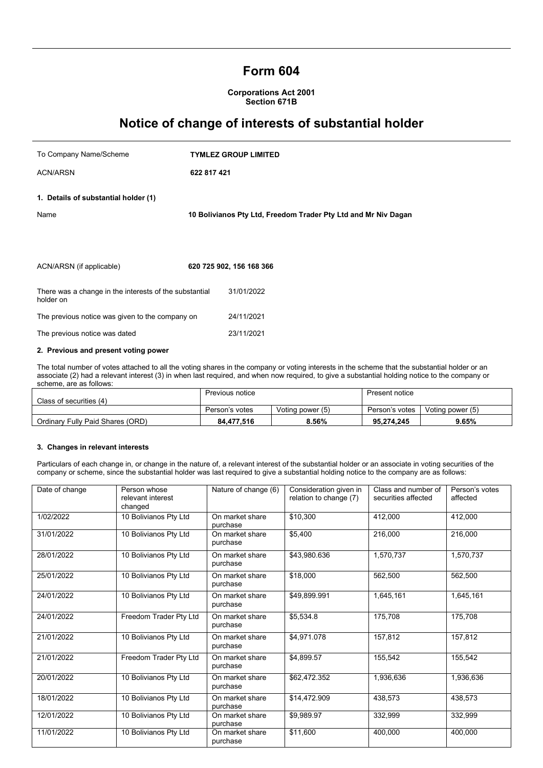## **Form 604**

**Corporations Act 2001 Section 671B**

# **Notice of change of interests of substantial holder**

| To Company Name/Scheme                                              |             | <b>TYMLEZ GROUP LIMITED</b>                                    |
|---------------------------------------------------------------------|-------------|----------------------------------------------------------------|
| <b>ACN/ARSN</b>                                                     | 622 817 421 |                                                                |
| 1. Details of substantial holder (1)<br>Name                        |             | 10 Bolivianos Pty Ltd, Freedom Trader Pty Ltd and Mr Niv Dagan |
| ACN/ARSN (if applicable)                                            |             | 620 725 902, 156 168 366                                       |
| There was a change in the interests of the substantial<br>holder on |             | 31/01/2022                                                     |
| The previous notice was given to the company on                     |             | 24/11/2021                                                     |
| The previous notice was dated                                       |             | 23/11/2021                                                     |

### **2. Previous and present voting power**

The total number of votes attached to all the voting shares in the company or voting interests in the scheme that the substantial holder or an associate (2) had a relevant interest (3) in when last required, and when now required, to give a substantial holding notice to the company or scheme, are as follows:

| Class of securities (4)          | Previous notice |                  | Present notice |                  |
|----------------------------------|-----------------|------------------|----------------|------------------|
|                                  | Person's votes  | Voting power (5) | Person's votes | Voting power (5) |
| Ordinary Fully Paid Shares (ORD) | 84.477.516      | 8.56%            | 95.274.245     | $9.65\%$         |

## **3. Changes in relevant interests**

Particulars of each change in, or change in the nature of, a relevant interest of the substantial holder or an associate in voting securities of the company or scheme, since the substantial holder was last required to give a substantial holding notice to the company are as follows:

| Date of change | Person whose<br>relevant interest<br>changed | Nature of change (6)        | Consideration given in<br>relation to change (7) | Class and number of<br>securities affected | Person's votes<br>affected |
|----------------|----------------------------------------------|-----------------------------|--------------------------------------------------|--------------------------------------------|----------------------------|
| 1/02/2022      | 10 Bolivianos Pty Ltd                        | On market share<br>purchase | \$10,300                                         | 412,000                                    | 412,000                    |
| 31/01/2022     | 10 Bolivianos Pty Ltd                        | On market share<br>purchase | \$5,400                                          | 216,000                                    | 216,000                    |
| 28/01/2022     | 10 Bolivianos Pty Ltd                        | On market share<br>purchase | \$43.980.636                                     | 1,570,737                                  | 1,570,737                  |
| 25/01/2022     | 10 Bolivianos Pty Ltd                        | On market share<br>purchase | \$18,000                                         | 562,500                                    | 562,500                    |
| 24/01/2022     | 10 Bolivianos Pty Ltd                        | On market share<br>purchase | \$49,899.991                                     | 1,645,161                                  | 1,645,161                  |
| 24/01/2022     | Freedom Trader Pty Ltd                       | On market share<br>purchase | \$5,534.8                                        | 175,708                                    | 175,708                    |
| 21/01/2022     | 10 Bolivianos Pty Ltd                        | On market share<br>purchase | \$4,971.078                                      | 157,812                                    | 157,812                    |
| 21/01/2022     | Freedom Trader Pty Ltd                       | On market share<br>purchase | \$4,899.57                                       | 155,542                                    | 155,542                    |
| 20/01/2022     | 10 Bolivianos Pty Ltd                        | On market share<br>purchase | \$62,472.352                                     | 1,936,636                                  | 1,936,636                  |
| 18/01/2022     | 10 Bolivianos Pty Ltd                        | On market share<br>purchase | \$14,472.909                                     | 438.573                                    | 438,573                    |
| 12/01/2022     | 10 Bolivianos Pty Ltd                        | On market share<br>purchase | \$9,989.97                                       | 332.999                                    | 332,999                    |
| 11/01/2022     | 10 Bolivianos Pty Ltd                        | On market share<br>purchase | \$11,600                                         | 400.000                                    | 400.000                    |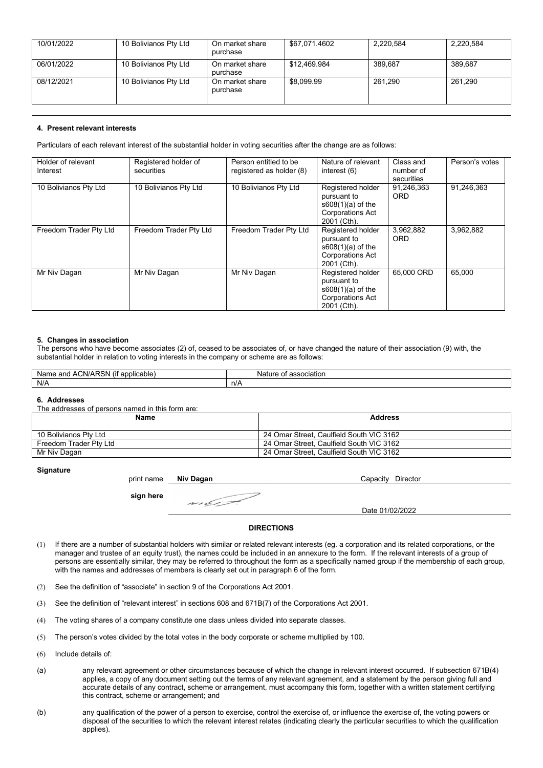| 10/01/2022 | 10 Bolivianos Pty Ltd | On market share<br>purchase | \$67,071.4602 | 2,220,584 | 2,220,584 |
|------------|-----------------------|-----------------------------|---------------|-----------|-----------|
| 06/01/2022 | 10 Bolivianos Pty Ltd | On market share<br>purchase | \$12.469.984  | 389.687   | 389.687   |
| 08/12/2021 | 10 Bolivianos Pty Ltd | On market share<br>purchase | \$8.099.99    | 261.290   | 261.290   |

## **4. Present relevant interests**

Particulars of each relevant interest of the substantial holder in voting securities after the change are as follows:

| Holder of relevant<br>Interest | Registered holder of<br>securities | Person entitled to be<br>registered as holder (8) | Nature of relevant<br>interest (6)                                                                | Class and<br>number of<br>securities | Person's votes |
|--------------------------------|------------------------------------|---------------------------------------------------|---------------------------------------------------------------------------------------------------|--------------------------------------|----------------|
| 10 Bolivianos Pty Ltd          | 10 Bolivianos Pty Ltd              | 10 Bolivianos Pty Ltd                             | Registered holder<br>pursuant to<br>$s608(1)(a)$ of the<br><b>Corporations Act</b><br>2001 (Cth). | 91,246,363<br><b>ORD</b>             | 91,246,363     |
| Freedom Trader Pty Ltd         | Freedom Trader Pty Ltd             | Freedom Trader Pty Ltd                            | Registered holder<br>pursuant to<br>$s608(1)(a)$ of the<br><b>Corporations Act</b><br>2001 (Cth). | 3,962,882<br><b>ORD</b>              | 3,962,882      |
| Mr Niv Dagan                   | Mr Niv Dagan                       | Mr Niv Dagan                                      | Registered holder<br>pursuant to<br>$s608(1)(a)$ of the<br><b>Corporations Act</b><br>2001 (Cth). | 65,000 ORD                           | 65.000         |

## **5. Changes in association**

The persons who have become associates (2) of, ceased to be associates of, or have changed the nature of their association (9) with, the substantial holder in relation to voting interests in the company or scheme are as follows:

| DOM<br><br>∶N/AI<br>applicable<br>Nar<br>and<br>me<br>NG.<br>' AL<br>- גי | association<br>Natur<br>.<br>. |
|---------------------------------------------------------------------------|--------------------------------|
| N/A                                                                       | .n/P                           |

#### **6. Addresses**

The addresses of persons named in this form are:

| Name                   | <b>Address</b>                           |
|------------------------|------------------------------------------|
| 10 Bolivianos Pty Ltd  | 24 Omar Street, Caulfield South VIC 3162 |
| Freedom Trader Pty Ltd | 24 Omar Street, Caulfield South VIC 3162 |
| Mr Niv Dagan           | 24 Omar Street, Caulfield South VIC 3162 |

#### **Signature**

print name **Niv Dagan <b>CAPACITY** Capacity Director

**sign here** en el est

Date 01/02/2022

## **DIRECTIONS**

- (1) If there are a number of substantial holders with similar or related relevant interests (eg. a corporation and its related corporations, or the manager and trustee of an equity trust), the names could be included in an annexure to the form. If the relevant interests of a group of persons are essentially similar, they may be referred to throughout the form as a specifically named group if the membership of each group, with the names and addresses of members is clearly set out in paragraph 6 of the form.
- (2) See the definition of "associate" in section 9 of the Corporations Act 2001.
- (3) See the definition of "relevant interest" in sections 608 and 671B(7) of the Corporations Act 2001.
- (4) The voting shares of a company constitute one class unless divided into separate classes.
- (5) The person's votes divided by the total votes in the body corporate or scheme multiplied by 100.
- (6) Include details of:
- (a) any relevant agreement or other circumstances because of which the change in relevant interest occurred. If subsection 671B(4) applies, a copy of any document setting out the terms of any relevant agreement, and a statement by the person giving full and accurate details of any contract, scheme or arrangement, must accompany this form, together with a written statement certifying this contract, scheme or arrangement; and
- (b) any qualification of the power of a person to exercise, control the exercise of, or influence the exercise of, the voting powers or disposal of the securities to which the relevant interest relates (indicating clearly the particular securities to which the qualification applies).